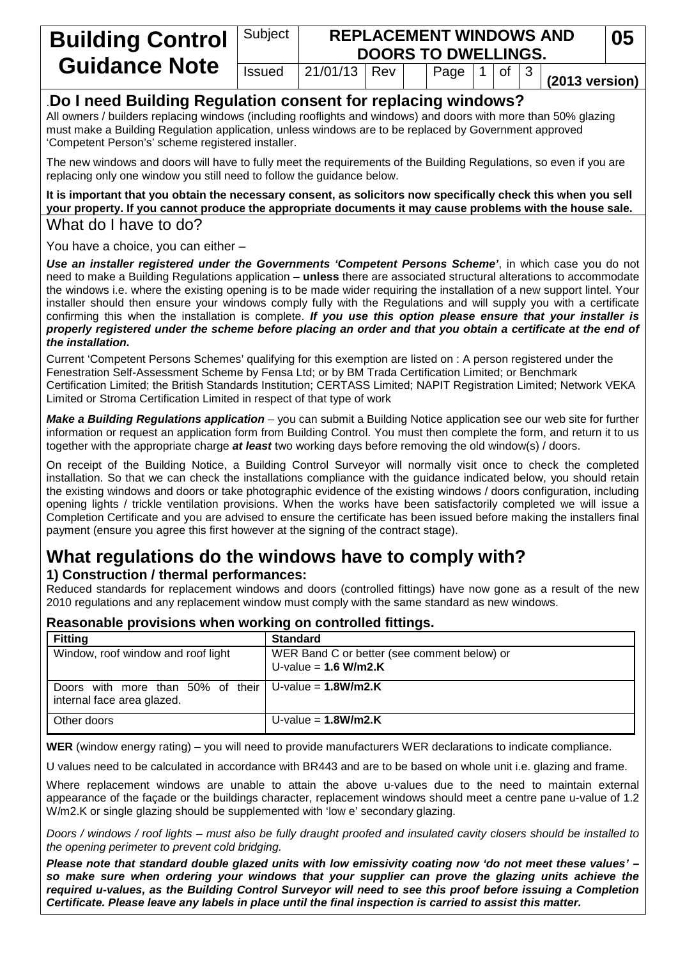| <b>Building Control</b>                                                                                                                                                         | Subject       | <b>REPLACEMENT WINDOWS AND</b><br>05<br><b>DOORS TO DWELLINGS.</b> |  |  |                     |  |  |  |                          |  |
|---------------------------------------------------------------------------------------------------------------------------------------------------------------------------------|---------------|--------------------------------------------------------------------|--|--|---------------------|--|--|--|--------------------------|--|
| <b>Guidance Note</b>                                                                                                                                                            | <b>Issued</b> | $21/01/13$ Rev                                                     |  |  | Page $ 1 $ of $ 3 $ |  |  |  | $(2013 \text{ version})$ |  |
| Do I need Building Regulation consent for replacing windows?<br>All owners / builders replacing windows (including rooflights and windows) and doors with more than 50% glazing |               |                                                                    |  |  |                     |  |  |  |                          |  |

must make a Building Regulation application, unless windows are to be replaced by Government approved 'Competent Person's' scheme registered installer.

The new windows and doors will have to fully meet the requirements of the Building Regulations, so even if you are replacing only one window you still need to follow the guidance below.

#### **It is important that you obtain the necessary consent, as solicitors now specifically check this when you sell your property. If you cannot produce the appropriate documents it may cause problems with the house sale.** What do I have to do?

You have a choice, you can either –

*Use an installer registered under the Governments 'Competent Persons Scheme'*, in which case you do not need to make a Building Regulations application – **unless** there are associated structural alterations to accommodate the windows i.e. where the existing opening is to be made wider requiring the installation of a new support lintel. Your installer should then ensure your windows comply fully with the Regulations and will supply you with a certificate confirming this when the installation is complete. *If you use this option please ensure that your installer is properly registered under the scheme before placing an order and that you obtain a certificate at the end of the installation.*

Current 'Competent Persons Schemes' qualifying for this exemption are listed on : A person registered under the Fenestration Self-Assessment Scheme by Fensa Ltd; or by BM Trada Certification Limited; or Benchmark Certification Limited; the British Standards Institution; CERTASS Limited; NAPIT Registration Limited; Network VEKA Limited or Stroma Certification Limited in respect of that type of work

*Make a Building Regulations application* – you can submit a Building Notice application see our web site for further information or request an application form from Building Control. You must then complete the form, and return it to us together with the appropriate charge *at least* two working days before removing the old window(s) / doors.

On receipt of the Building Notice, a Building Control Surveyor will normally visit once to check the completed installation. So that we can check the installations compliance with the guidance indicated below, you should retain the existing windows and doors or take photographic evidence of the existing windows / doors configuration, including opening lights / trickle ventilation provisions. When the works have been satisfactorily completed we will issue a Completion Certificate and you are advised to ensure the certificate has been issued before making the installers final payment (ensure you agree this first however at the signing of the contract stage).

# **What regulations do the windows have to comply with? 1) Construction / thermal performances:**

Reduced standards for replacement windows and doors (controlled fittings) have now gone as a result of the new 2010 regulations and any replacement window must comply with the same standard as new windows.

# **Reasonable provisions when working on controlled fittings.**

| <b>Fitting</b>                                                                          | <b>Standard</b>                                                       |
|-----------------------------------------------------------------------------------------|-----------------------------------------------------------------------|
| Window, roof window and roof light                                                      | WER Band C or better (see comment below) or<br>U-value = $1.6$ W/m2.K |
| Doors with more than 50% of their $ U$ -value = 1.8W/m2.K<br>internal face area glazed. |                                                                       |
| Other doors                                                                             | U-value = $1.8$ W/m2.K                                                |

**WER** (window energy rating) – you will need to provide manufacturers WER declarations to indicate compliance.

U values need to be calculated in accordance with BR443 and are to be based on whole unit i.e. glazing and frame.

Where replacement windows are unable to attain the above u-values due to the need to maintain external appearance of the façade or the buildings character, replacement windows should meet a centre pane u-value of 1.2 W/m2.K or single glazing should be supplemented with 'low e' secondary glazing.

*Doors / windows / roof lights – must also be fully draught proofed and insulated cavity closers should be installed to the opening perimeter to prevent cold bridging.*

*Please note that standard double glazed units with low emissivity coating now 'do not meet these values' – so make sure when ordering your windows that your supplier can prove the glazing units achieve the required u-values, as the Building Control Surveyor will need to see this proof before issuing a Completion Certificate. Please leave any labels in place until the final inspection is carried to assist this matter.*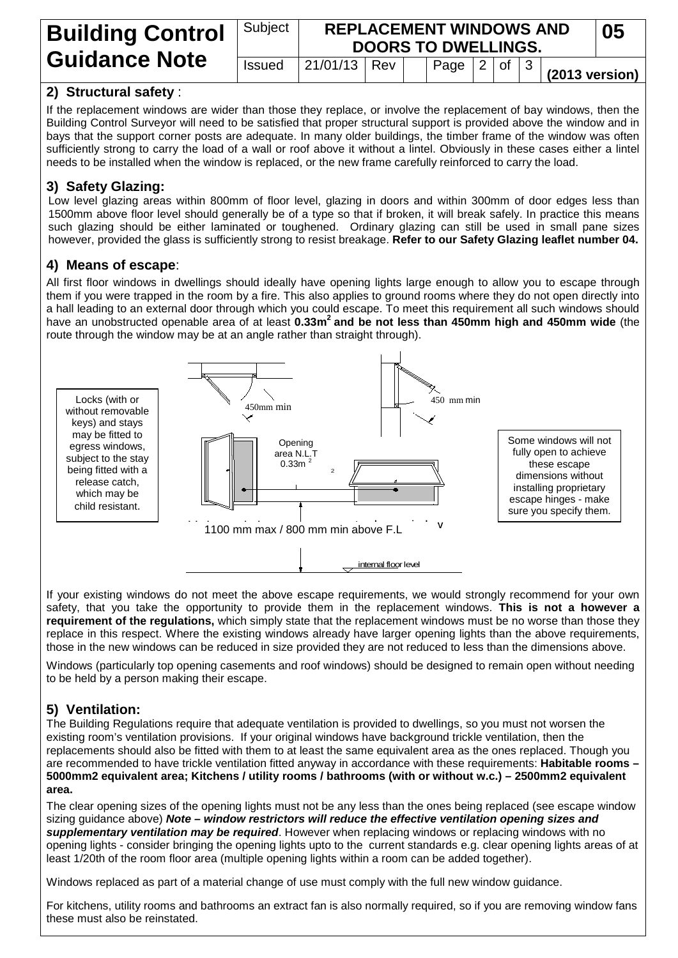| <b>Building Control</b><br><b>Guidance Note</b> | Subject       | <b>REPLACEMENT WINDOWS AND</b><br><b>DOORS TO DWELLINGS.</b> |  |  |                                             |  |  |  |                          | 05 |
|-------------------------------------------------|---------------|--------------------------------------------------------------|--|--|---------------------------------------------|--|--|--|--------------------------|----|
|                                                 | <b>Issued</b> | $ 21/01/13 $ Rev                                             |  |  | $\vert$ Page $\vert$ 2 $\vert$ of $\vert$ 3 |  |  |  | $(2013 \text{ version})$ |    |

# **2) Structural safety** :

If the replacement windows are wider than those they replace, or involve the replacement of bay windows, then the Building Control Surveyor will need to be satisfied that proper structural support is provided above the window and in bays that the support corner posts are adequate. In many older buildings, the timber frame of the window was often sufficiently strong to carry the load of a wall or roof above it without a lintel. Obviously in these cases either a lintel needs to be installed when the window is replaced, or the new frame carefully reinforced to carry the load.

# **3) Safety Glazing:**

Low level glazing areas within 800mm of floor level, glazing in doors and within 300mm of door edges less than 1500mm above floor level should generally be of a type so that if broken, it will break safely. In practice this means such glazing should be either laminated or toughened. Ordinary glazing can still be used in small pane sizes however, provided the glass is sufficiently strong to resist breakage. **Refer to our Safety Glazing leaflet number 04.**

### **4) Means of escape**:

All first floor windows in dwellings should ideally have opening lights large enough to allow you to escape through them if you were trapped in the room by a fire. This also applies to ground rooms where they do not open directly into a hall leading to an external door through which you could escape. To meet this requirement all such windows should have an unobstructed openable area of at least **0.33m2 and be not less than 450mm high and 450mm wide** (the route through the window may be at an angle rather than straight through).



If your existing windows do not meet the above escape requirements, we would strongly recommend for your own safety, that you take the opportunity to provide them in the replacement windows. **This is not a however a requirement of the regulations,** which simply state that the replacement windows must be no worse than those they replace in this respect. Where the existing windows already have larger opening lights than the above requirements, those in the new windows can be reduced in size provided they are not reduced to less than the dimensions above.

Windows (particularly top opening casements and roof windows) should be designed to remain open without needing to be held by a person making their escape.

# **5) Ventilation:**

The Building Regulations require that adequate ventilation is provided to dwellings, so you must not worsen the existing room's ventilation provisions. If your original windows have background trickle ventilation, then the replacements should also be fitted with them to at least the same equivalent area as the ones replaced. Though you are recommended to have trickle ventilation fitted anyway in accordance with these requirements: **Habitable rooms – 5000mm2 equivalent area; Kitchens / utility rooms / bathrooms (with or without w.c.) – 2500mm2 equivalent area.**

The clear opening sizes of the opening lights must not be any less than the ones being replaced (see escape window sizing guidance above) *Note – window restrictors will reduce the effective ventilation opening sizes and supplementary ventilation may be required*. However when replacing windows or replacing windows with no opening lights - consider bringing the opening lights upto to the current standards e.g. clear opening lights areas of at least 1/20th of the room floor area (multiple opening lights within a room can be added together).

Windows replaced as part of a material change of use must comply with the full new window guidance.

For kitchens, utility rooms and bathrooms an extract fan is also normally required, so if you are removing window fans these must also be reinstated.